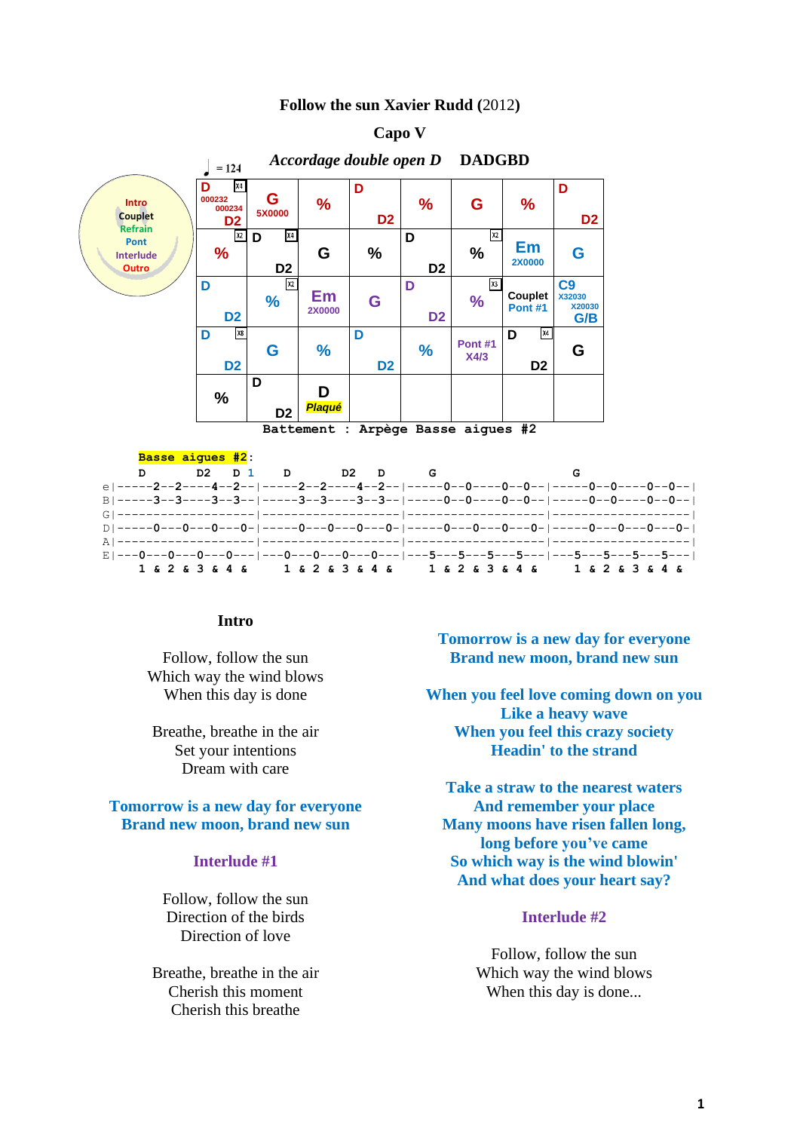### **Follow the sun Xavier Rudd (**2012**)**



#### **Basse aigues #2: D D2 D 1 D D2 D G G** e|-----**2**--**2**----**4**--**2**--|-----**2**--**2**----**4**--**2**--|-----**0**--**0**----**0**--**0**--|-----**0**--**0**----**0**--**0**--| B|-----**3**--**3**----**3**--**3**--|-----**3**--**3**----**3**--**3**--|-----**0**--**0**----**0**--**0**--|-----**0**--**0**----**0**--**0**--| G|-------------------|-------------------|-------------------|-------------------| D|-----**0**---**0**---**0**---**0**-|-----**0**---**0**---**0**---**0**-|-----**0**---**0**---**0**---**0**-|-----**0**---**0**---**0**---**0**-| A|-------------------|-------------------|-------------------|-------------------| E|---**0**---**0**---**0**---**0**---|---**0**---**0**---**0**---**0**---|---**5**---**5**---**5**---**5**---|---**5**---**5**---**5**---**5**---|  **1 & 2 & 3 & 4 & 1 & 2 & 3 & 4 & 1 & 2 & 3 & 4 & 1 & 2 & 3 & 4 &**

#### **Intro**

Follow, follow the sun Which way the wind blows When this day is done

Breathe, breathe in the air Set your intentions Dream with care

# **Tomorrow is a new day for everyone Brand new moon, brand new sun**

# **Interlude #1**

Follow, follow the sun Direction of the birds Direction of love

Breathe, breathe in the air Cherish this moment Cherish this breathe

**Tomorrow is a new day for everyone Brand new moon, brand new sun**

**When you feel love coming down on you Like a heavy wave When you feel this crazy society Headin' to the strand**

**Take a straw to the nearest waters And remember your place Many moons have risen fallen long, long before you've came So which way is the wind blowin' And what does your heart say?**

### **Interlude #2**

Follow, follow the sun Which way the wind blows When this day is done...